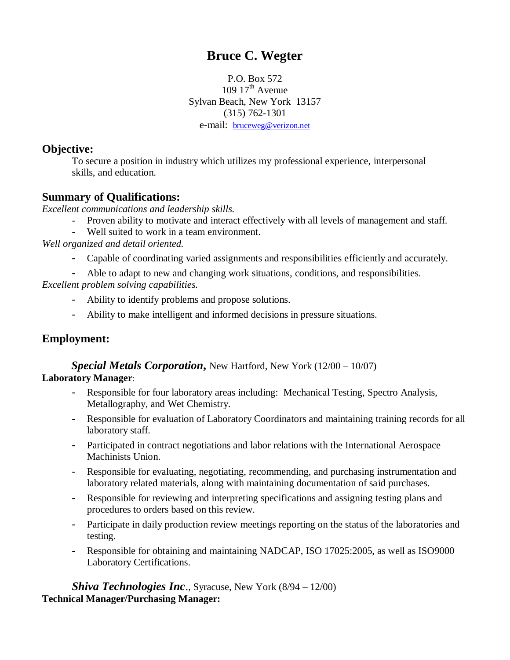# **Bruce C. Wegter**

P.O. Box 572 109  $17<sup>th</sup>$  Avenue Sylvan Beach, New York 13157 (315) 762-1301 e-mail: [bruceweg@verizon.net](mailto:bruceweg@prodigy.net)

### **Objective:**

To secure a position in industry which utilizes my professional experience, interpersonal skills, and education.

# **Summary of Qualifications:**

*Excellent communications and leadership skills.*

- Proven ability to motivate and interact effectively with all levels of management and staff.
- Well suited to work in a team environment.

 *Well organized and detail oriented.*

- Capable of coordinating varied assignments and responsibilities efficiently and accurately.
- Able to adapt to new and changing work situations, conditions, and responsibilities.

*Excellent problem solving capabilities.*

- Ability to identify problems and propose solutions.
- Ability to make intelligent and informed decisions in pressure situations.

# **Employment:**

 *Special Metals Corporation***,** New Hartford, New York (12/00 – 10/07) **Laboratory Manager**:

- Responsible for four laboratory areas including: Mechanical Testing, Spectro Analysis, Metallography, and Wet Chemistry.
- Responsible for evaluation of Laboratory Coordinators and maintaining training records for all laboratory staff.
- Participated in contract negotiations and labor relations with the International Aerospace Machinists Union.
- Responsible for evaluating, negotiating, recommending, and purchasing instrumentation and laboratory related materials, along with maintaining documentation of said purchases.
- Responsible for reviewing and interpreting specifications and assigning testing plans and procedures to orders based on this review.
- Participate in daily production review meetings reporting on the status of the laboratories and testing.
- Responsible for obtaining and maintaining NADCAP, ISO 17025:2005, as well as ISO9000 Laboratory Certifications.

*Shiva Technologies Inc.*, Syracuse, New York (8/94 – 12/00) **Technical Manager/Purchasing Manager:**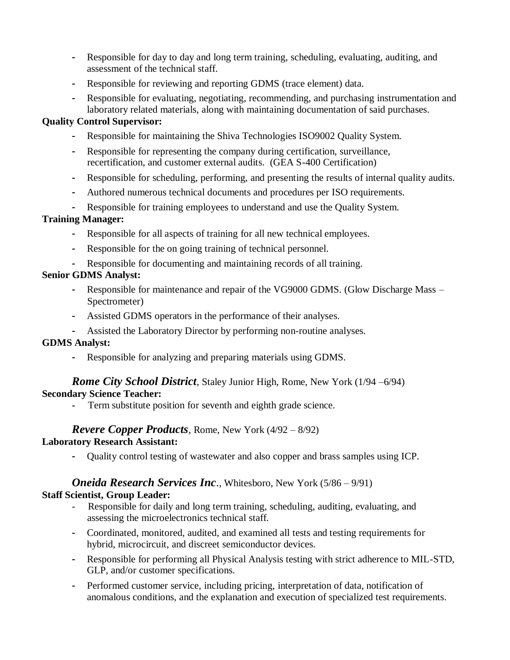- Responsible for day to day and long term training, scheduling, evaluating, auditing, and assessment of the technical staff.
- Responsible for reviewing and reporting GDMS (trace element) data.
- Responsible for evaluating, negotiating, recommending, and purchasing instrumentation and laboratory related materials, along with maintaining documentation of said purchases.

#### **Quality Control Supervisor:**

- Responsible for maintaining the Shiva Technologies ISO9002 Quality System.
- Responsible for representing the company during certification, surveillance, recertification, and customer external audits. (GEA S-400 Certification)
- Responsible for scheduling, performing, and presenting the results of internal quality audits.
- Authored numerous technical documents and procedures per ISO requirements.
- Responsible for training employees to understand and use the Quality System.

### **Training Manager:**

- Responsible for all aspects of training for all new technical employees.
- Responsible for the on going training of technical personnel.
- Responsible for documenting and maintaining records of all training.

### **Senior GDMS Analyst:**

- Responsible for maintenance and repair of the VG9000 GDMS. (Glow Discharge Mass Spectrometer)
- Assisted GDMS operators in the performance of their analyses.
- Assisted the Laboratory Director by performing non-routine analyses.

#### **GDMS Analyst:**

- Responsible for analyzing and preparing materials using GDMS.

# *Rome City School District*, Staley Junior High, Rome, New York (1/94 –6/94)

# **Secondary Science Teacher:**

**-** Term substitute position for seventh and eighth grade science.

### *Revere Copper Products*, Rome, New York (4/92 – 8/92)

### **Laboratory Research Assistant:**

- Quality control testing of wastewater and also copper and brass samples using ICP.

# *Oneida Research Services Inc*., Whitesboro, New York (5/86 – 9/91)

### **Staff Scientist, Group Leader:**

- Responsible for daily and long term training, scheduling, auditing, evaluating, and assessing the microelectronics technical staff.
- Coordinated, monitored, audited, and examined all tests and testing requirements for hybrid, microcircuit, and discreet semiconductor devices.
- Responsible for performing all Physical Analysis testing with strict adherence to MIL-STD, GLP, and/or customer specifications.
- Performed customer service, including pricing, interpretation of data, notification of anomalous conditions, and the explanation and execution of specialized test requirements.